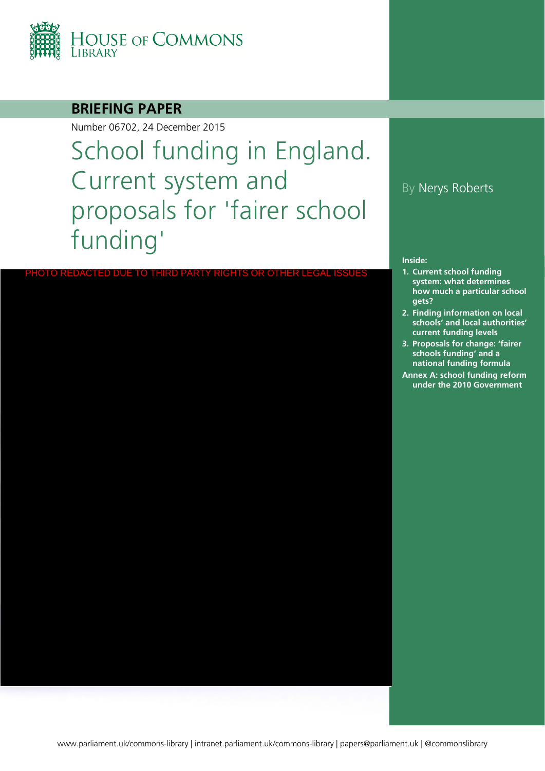

### **BRIEFING PAPER**

Number 06702, 24 December 2015

School funding in England. Current system and proposals for 'fairer school funding'

REDACTED DUE TO THIRD PARTY RIGHTS OR OTHER LEGAL ISSUE

#### By Nerys Roberts

#### **Inside:**

- **1. [Current school funding](#page-4-0)  system: what determines how much a particular school gets?**
- **2. Finding information on local schools' and local authorities' current funding levels**
- **3. Proposals for change: 'fairer schools funding' and a national funding formula**
- **Annex A: school funding reform under the 2010 Government**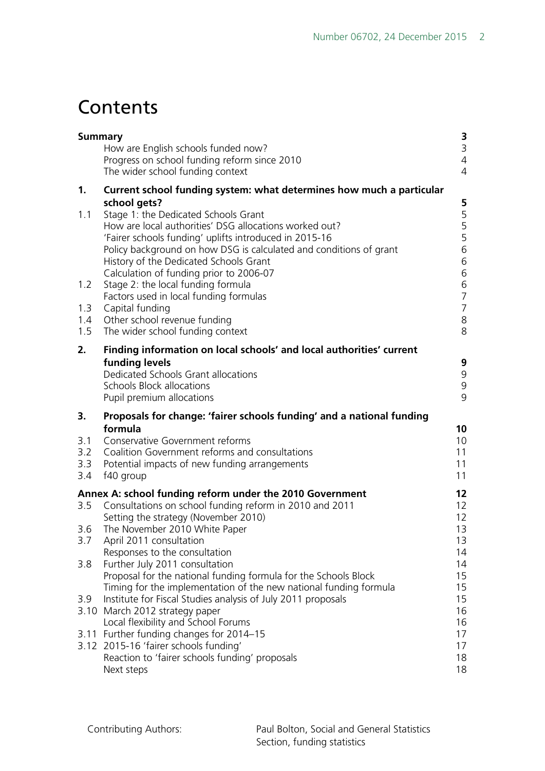# **Contents**

|                                       | <b>Summary</b><br>How are English schools funded now?<br>Progress on school funding reform since 2010<br>The wider school funding context                                                                                                                                                                                                                                                                                                                                                                                                                                          | 3<br>$\overline{3}$<br>$\overline{4}$<br>4                                                       |
|---------------------------------------|------------------------------------------------------------------------------------------------------------------------------------------------------------------------------------------------------------------------------------------------------------------------------------------------------------------------------------------------------------------------------------------------------------------------------------------------------------------------------------------------------------------------------------------------------------------------------------|--------------------------------------------------------------------------------------------------|
| 1.<br>1.1<br>1.2<br>1.3<br>1.4<br>1.5 | Current school funding system: what determines how much a particular<br>school gets?<br>Stage 1: the Dedicated Schools Grant<br>How are local authorities' DSG allocations worked out?<br>'Fairer schools funding' uplifts introduced in 2015-16<br>Policy background on how DSG is calculated and conditions of grant<br>History of the Dedicated Schools Grant<br>Calculation of funding prior to 2006-07<br>Stage 2: the local funding formula<br>Factors used in local funding formulas<br>Capital funding<br>Other school revenue funding<br>The wider school funding context | 5<br>5<br>5<br>5<br>5<br>6<br>$\sqrt{6}$<br>6<br>6<br>$\overline{7}$<br>$\overline{7}$<br>8<br>8 |
| 2.                                    | Finding information on local schools' and local authorities' current<br>funding levels<br>Dedicated Schools Grant allocations<br><b>Schools Block allocations</b><br>Pupil premium allocations                                                                                                                                                                                                                                                                                                                                                                                     | 9<br>9<br>9<br>9                                                                                 |
| 3.<br>3.1<br>3.2<br>3.3<br>3.4        | Proposals for change: 'fairer schools funding' and a national funding<br>formula<br><b>Conservative Government reforms</b><br>Coalition Government reforms and consultations<br>Potential impacts of new funding arrangements<br>f40 group                                                                                                                                                                                                                                                                                                                                         | 10<br>10<br>11<br>11<br>11                                                                       |
| 3.5<br>3.6<br>3.7                     | Annex A: school funding reform under the 2010 Government<br>Consultations on school funding reform in 2010 and 2011<br>Setting the strategy (November 2010)<br>The November 2010 White Paper<br>April 2011 consultation                                                                                                                                                                                                                                                                                                                                                            | 12<br>12<br>12<br>13<br>13                                                                       |
| 3.8                                   | Responses to the consultation<br>Further July 2011 consultation<br>Proposal for the national funding formula for the Schools Block<br>Timing for the implementation of the new national funding formula                                                                                                                                                                                                                                                                                                                                                                            | 14<br>14<br>15<br>15                                                                             |
| 3.9<br>3.11                           | Institute for Fiscal Studies analysis of July 2011 proposals<br>3.10 March 2012 strategy paper<br>Local flexibility and School Forums<br>Further funding changes for 2014-15                                                                                                                                                                                                                                                                                                                                                                                                       | 15<br>16<br>16<br>17                                                                             |
|                                       | 3.12 2015-16 'fairer schools funding'<br>Reaction to 'fairer schools funding' proposals<br>Next steps                                                                                                                                                                                                                                                                                                                                                                                                                                                                              | 17<br>18<br>18                                                                                   |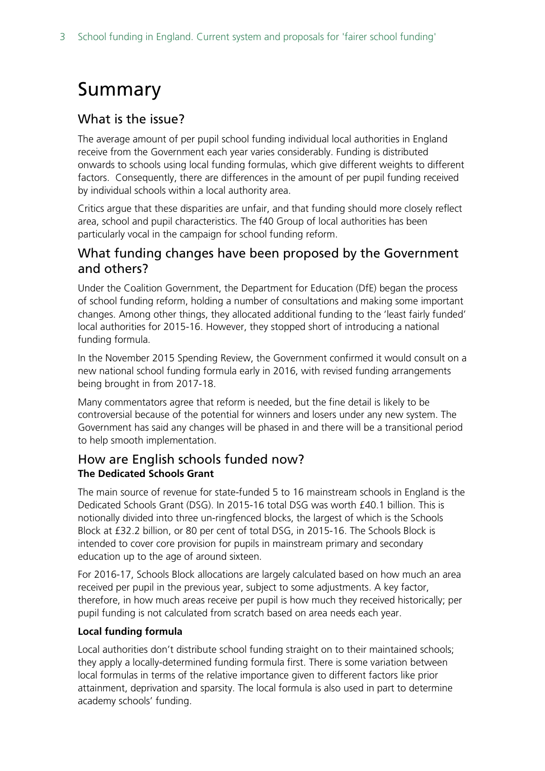# <span id="page-2-0"></span>Summary

### What is the issue?

The average amount of per pupil school funding individual local authorities in England receive from the Government each year varies considerably. Funding is distributed onwards to schools using local funding formulas, which give different weights to different factors. Consequently, there are differences in the amount of per pupil funding received by individual schools within a local authority area.

Critics argue that these disparities are unfair, and that funding should more closely reflect area, school and pupil characteristics. The f40 Group of local authorities has been particularly vocal in the campaign for school funding reform.

#### What funding changes have been proposed by the Government and others?

Under the Coalition Government, the Department for Education (DfE) began the process of school funding reform, holding a number of consultations and making some important changes. Among other things, they allocated additional funding to the 'least fairly funded' local authorities for 2015-16. However, they stopped short of introducing a national funding formula.

In the November 2015 Spending Review, the Government confirmed it would consult on a new national school funding formula early in 2016, with revised funding arrangements being brought in from 2017-18.

Many commentators agree that reform is needed, but the fine detail is likely to be controversial because of the potential for winners and losers under any new system. The Government has said any changes will be phased in and there will be a transitional period to help smooth implementation.

#### <span id="page-2-1"></span>How are English schools funded now? **The Dedicated Schools Grant**

The main source of revenue for state-funded 5 to 16 mainstream schools in England is the Dedicated Schools Grant (DSG). In 2015-16 total DSG was worth £40.1 billion. This is notionally divided into three un-ringfenced blocks, the largest of which is the Schools Block at £32.2 billion, or 80 per cent of total DSG, in 2015-16. The Schools Block is intended to cover core provision for pupils in mainstream primary and secondary education up to the age of around sixteen.

For 2016-17, Schools Block allocations are largely calculated based on how much an area received per pupil in the previous year, subject to some adjustments. A key factor, therefore, in how much areas receive per pupil is how much they received historically; per pupil funding is not calculated from scratch based on area needs each year.

#### **Local funding formula**

Local authorities don't distribute school funding straight on to their maintained schools; they apply a locally-determined funding formula first. There is some variation between local formulas in terms of the relative importance given to different factors like prior attainment, deprivation and sparsity. The local formula is also used in part to determine academy schools' funding.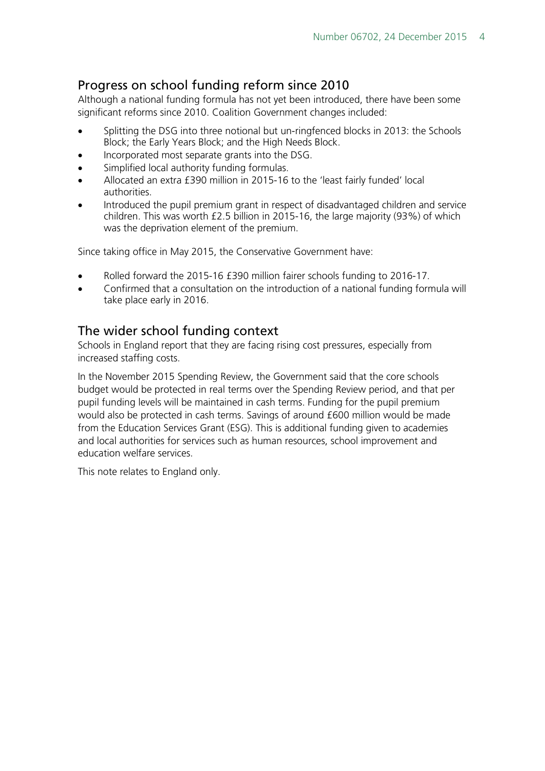#### <span id="page-3-0"></span>Progress on school funding reform since 2010

Although a national funding formula has not yet been introduced, there have been some significant reforms since 2010. Coalition Government changes included:

- Splitting the DSG into three notional but un-ringfenced blocks in 2013: the Schools Block; the Early Years Block; and the High Needs Block.
- Incorporated most separate grants into the DSG.
- Simplified local authority funding formulas.
- Allocated an extra £390 million in 2015-16 to the 'least fairly funded' local authorities.
- Introduced the pupil premium grant in respect of disadvantaged children and service children. This was worth £2.5 billion in 2015-16, the large majority (93%) of which was the deprivation element of the premium.

Since taking office in May 2015, the Conservative Government have:

- Rolled forward the 2015-16 £390 million fairer schools funding to 2016-17.
- Confirmed that a consultation on the introduction of a national funding formula will take place early in 2016.

#### <span id="page-3-1"></span>The wider school funding context

Schools in England report that they are facing rising cost pressures, especially from increased staffing costs.

In the November 2015 Spending Review, the Government said that the core schools budget would be protected in real terms over the Spending Review period, and that per pupil funding levels will be maintained in cash terms. Funding for the pupil premium would also be protected in cash terms. Savings of around £600 million would be made from the Education Services Grant (ESG). This is additional funding given to academies and local authorities for services such as human resources, school improvement and education welfare services.

This note relates to England only.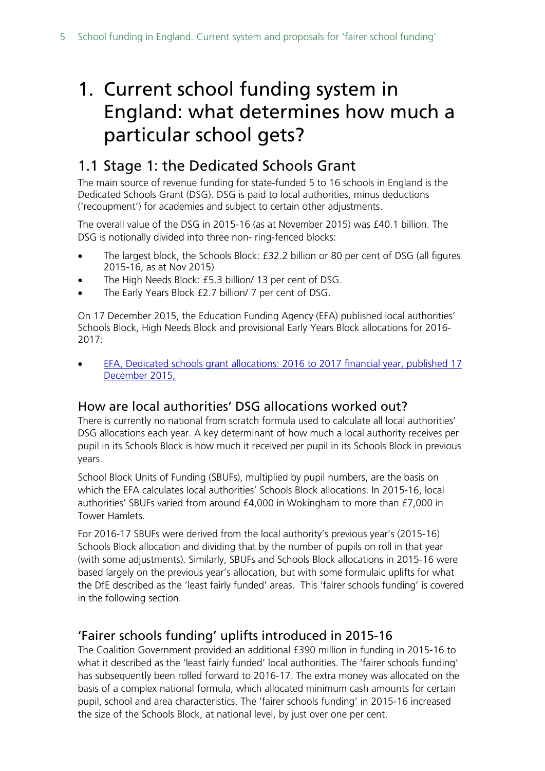# <span id="page-4-0"></span>1. Current school funding system in England: what determines how much a particular school gets?

# <span id="page-4-1"></span>1.1 Stage 1: the Dedicated Schools Grant

The main source of revenue funding for state-funded 5 to 16 schools in England is the Dedicated Schools Grant (DSG). DSG is paid to local authorities, minus deductions ('recoupment') for academies and subject to certain other adjustments.

The overall value of the DSG in 2015-16 (as at November 2015) was £40.1 billion. The DSG is notionally divided into three non- ring-fenced blocks:

- The largest block, the Schools Block: £32.2 billion or 80 per cent of DSG (all figures 2015-16, as at Nov 2015)
- The High Needs Block: £5.3 billion/ 13 per cent of DSG.
- The Early Years Block £2.7 billion/ 7 per cent of DSG.

On 17 December 2015, the Education Funding Agency (EFA) published local authorities' Schools Block, High Needs Block and provisional Early Years Block allocations for 2016- 2017:

• [EFA, Dedicated schools grant allocations: 2016 to 2017 financial year, published 17](https://www.gov.uk/government/uploads/system/uploads/attachment_data/file/485625/DSG_2016-17_allocations_spreadsheet_final.xls)  [December 2015,](https://www.gov.uk/government/uploads/system/uploads/attachment_data/file/485625/DSG_2016-17_allocations_spreadsheet_final.xls)

### <span id="page-4-2"></span>How are local authorities' DSG allocations worked out?

There is currently no national from scratch formula used to calculate all local authorities' DSG allocations each year. A key determinant of how much a local authority receives per pupil in its Schools Block is how much it received per pupil in its Schools Block in previous years.

School Block Units of Funding (SBUFs), multiplied by pupil numbers, are the basis on which the EFA calculates local authorities' Schools Block allocations. In 2015-16, local authorities' SBUFs varied from around £4,000 in Wokingham to more than £7,000 in Tower Hamlets.

For 2016-17 SBUFs were derived from the local authority's previous year's (2015-16) Schools Block allocation and dividing that by the number of pupils on roll in that year (with some adjustments). Similarly, SBUFs and Schools Block allocations in 2015-16 were based largely on the previous year's allocation, but with some formulaic uplifts for what the DfE described as the 'least fairly funded' areas. This 'fairer schools funding' is covered in the following section.

### <span id="page-4-3"></span>'Fairer schools funding' uplifts introduced in 2015-16

The Coalition Government provided an additional £390 million in funding in 2015-16 to what it described as the 'least fairly funded' local authorities. The 'fairer schools funding' has subsequently been rolled forward to 2016-17. The extra money was allocated on the basis of a complex national formula, which allocated minimum cash amounts for certain pupil, school and area characteristics. The 'fairer schools funding' in 2015-16 increased the size of the Schools Block, at national level, by just over one per cent.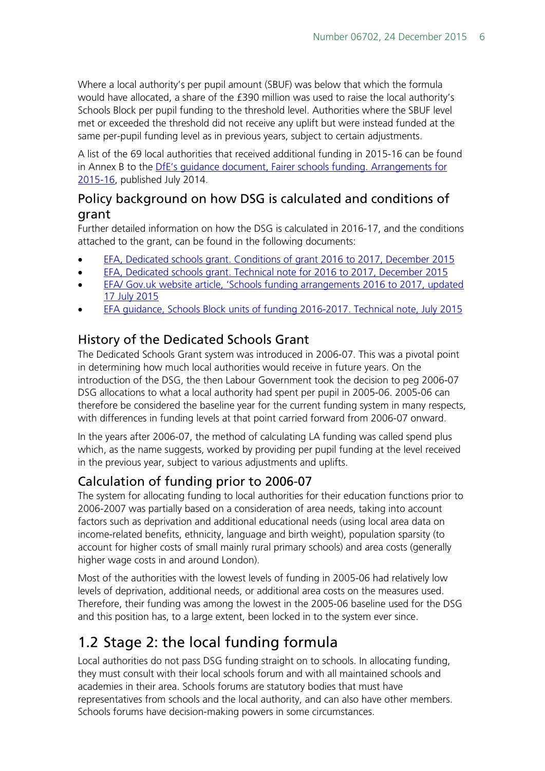Where a local authority's per pupil amount (SBUF) was below that which the formula would have allocated, a share of the £390 million was used to raise the local authority's Schools Block per pupil funding to the threshold level. Authorities where the SBUF level met or exceeded the threshold did not receive any uplift but were instead funded at the same per-pupil funding level as in previous years, subject to certain adjustments.

A list of the 69 local authorities that received additional funding in 2015-16 can be found in Annex B to the [DfE's guidance document, Fairer schools funding. Arrangements for](https://www.gov.uk/government/uploads/system/uploads/attachment_data/file/332652/Fairer_schools_funding_arrangements_for_2015_to_2016.pdf)  [2015-16,](https://www.gov.uk/government/uploads/system/uploads/attachment_data/file/332652/Fairer_schools_funding_arrangements_for_2015_to_2016.pdf) published July 2014.

### <span id="page-5-0"></span>Policy background on how DSG is calculated and conditions of grant

Further detailed information on how the DSG is calculated in 2016-17, and the conditions attached to the grant, can be found in the following documents:

- [EFA, Dedicated schools grant. Conditions of grant 2016 to 2017, December 2015](https://www.gov.uk/government/uploads/system/uploads/attachment_data/file/485627/DSG_Conditions_of_Grant_2016-17_-_Final_published.pdf)
- [EFA, Dedicated schools grant. Technical note for 2016 to 2017, December 2015](https://www.gov.uk/government/uploads/system/uploads/attachment_data/file/485628/DSG_Technical_note_2016-17_-__Final_published.pdf)
- [EFA/ Gov.uk website article, 'Schools funding arrangements 2016 to 2017, updated](https://www.gov.uk/government/publications/schools-funding-arrangements-2016-to-2017)  [17 July 2015](https://www.gov.uk/government/publications/schools-funding-arrangements-2016-to-2017)
- [EFA guidance, Schools Block units of funding 2016-2017. Technical note, July 2015](https://www.gov.uk/government/uploads/system/uploads/attachment_data/file/446185/SBUFs_2016-17_technical_note_publication_version1.pdf)

## <span id="page-5-1"></span>History of the Dedicated Schools Grant

The Dedicated Schools Grant system was introduced in 2006-07. This was a pivotal point in determining how much local authorities would receive in future years. On the introduction of the DSG, the then Labour Government took the decision to peg 2006-07 DSG allocations to what a local authority had spent per pupil in 2005-06. 2005-06 can therefore be considered the baseline year for the current funding system in many respects, with differences in funding levels at that point carried forward from 2006-07 onward.

In the years after 2006-07, the method of calculating LA funding was called spend plus which, as the name suggests, worked by providing per pupil funding at the level received in the previous year, subject to various adjustments and uplifts.

### <span id="page-5-2"></span>Calculation of funding prior to 2006-07

The system for allocating funding to local authorities for their education functions prior to 2006-2007 was partially based on a consideration of area needs, taking into account factors such as deprivation and additional educational needs (using local area data on income-related benefits, ethnicity, language and birth weight), population sparsity (to account for higher costs of small mainly rural primary schools) and area costs (generally higher wage costs in and around London).

Most of the authorities with the lowest levels of funding in 2005-06 had relatively low levels of deprivation, additional needs, or additional area costs on the measures used. Therefore, their funding was among the lowest in the 2005-06 baseline used for the DSG and this position has, to a large extent, been locked in to the system ever since.

# <span id="page-5-3"></span>1.2 Stage 2: the local funding formula

Local authorities do not pass DSG funding straight on to schools. In allocating funding, they must consult with their local schools forum and with all maintained schools and academies in their area. Schools forums are statutory bodies that must have representatives from schools and the local authority, and can also have other members. Schools forums have decision-making powers in some circumstances.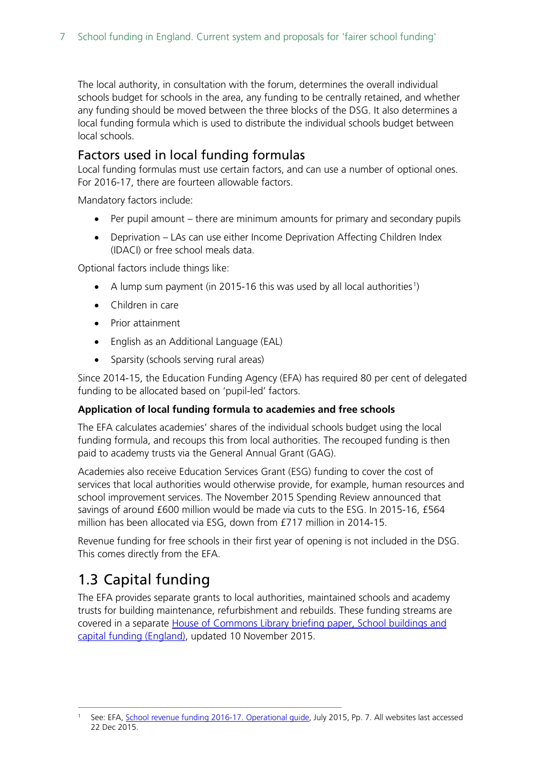The local authority, in consultation with the forum, determines the overall individual schools budget for schools in the area, any funding to be centrally retained, and whether any funding should be moved between the three blocks of the DSG. It also determines a local funding formula which is used to distribute the individual schools budget between local schools.

### <span id="page-6-0"></span>Factors used in local funding formulas

Local funding formulas must use certain factors, and can use a number of optional ones. For 2016-17, there are fourteen allowable factors.

Mandatory factors include:

- Per pupil amount there are minimum amounts for primary and secondary pupils
- Deprivation LAs can use either Income Deprivation Affecting Children Index (IDACI) or free school meals data.

Optional factors include things like:

- A lump sum payment (in 20[1](#page-6-2)5-16 this was used by all local authorities<sup>1</sup>)
- Children in care
- Prior attainment
- English as an Additional Language (EAL)
- Sparsity (schools serving rural areas)

Since 2014-15, the Education Funding Agency (EFA) has required 80 per cent of delegated funding to be allocated based on 'pupil-led' factors.

#### **Application of local funding formula to academies and free schools**

The EFA calculates academies' shares of the individual schools budget using the local funding formula, and recoups this from local authorities. The recouped funding is then paid to academy trusts via the General Annual Grant (GAG).

Academies also receive Education Services Grant (ESG) funding to cover the cost of services that local authorities would otherwise provide, for example, human resources and school improvement services. The November 2015 Spending Review announced that savings of around £600 million would be made via cuts to the ESG. In 2015-16, £564 million has been allocated via ESG, down from £717 million in 2014-15.

Revenue funding for free schools in their first year of opening is not included in the DSG. This comes directly from the EFA.

# <span id="page-6-1"></span>1.3 Capital funding

The EFA provides separate grants to local authorities, maintained schools and academy trusts for building maintenance, refurbishment and rebuilds. These funding streams are covered in a separate [House of Commons Library briefing paper, School buildings and](http://researchbriefings.files.parliament.uk/documents/CBP-7375/CBP-7375.pdf)  [capital funding \(England\),](http://researchbriefings.files.parliament.uk/documents/CBP-7375/CBP-7375.pdf) updated 10 November 2015.

<span id="page-6-2"></span> <sup>1</sup> See: EFA, [School revenue funding 2016-17. Operational guide,](https://www.gov.uk/government/uploads/system/uploads/attachment_data/file/445686/Schools_revenue_funding_2016_to_2017_operational_guide_publication_version_final.pdf) July 2015, Pp. 7. All websites last accessed 22 Dec 2015.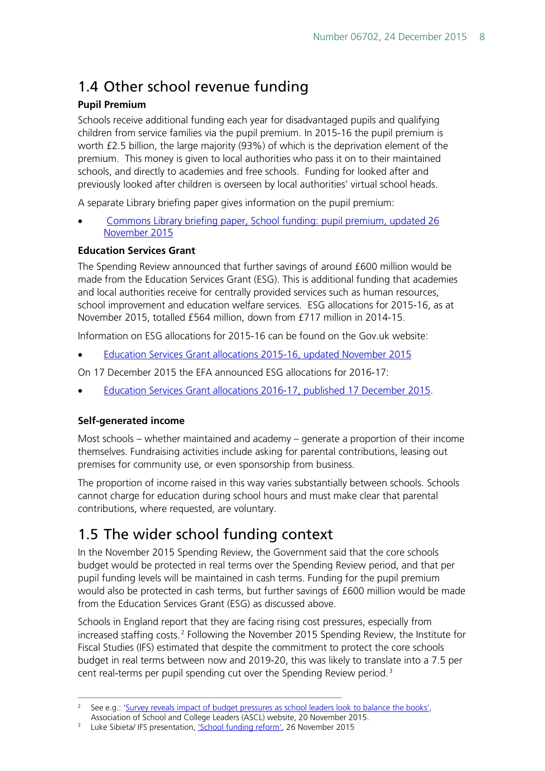# <span id="page-7-0"></span>1.4 Other school revenue funding

#### **Pupil Premium**

Schools receive additional funding each year for disadvantaged pupils and qualifying children from service families via the pupil premium. In 2015-16 the pupil premium is worth £2.5 billion, the large majority (93%) of which is the deprivation element of the premium. This money is given to local authorities who pass it on to their maintained schools, and directly to academies and free schools. Funding for looked after and previously looked after children is overseen by local authorities' virtual school heads.

A separate Library briefing paper gives information on the pupil premium:

• [Commons Library briefing paper, School funding: pupil premium, updated 26](http://researchbriefings.parliament.uk/ResearchBriefing/Summary/SN06700)  [November 2015](http://researchbriefings.parliament.uk/ResearchBriefing/Summary/SN06700)

#### **Education Services Grant**

The Spending Review announced that further savings of around £600 million would be made from the Education Services Grant (ESG). This is additional funding that academies and local authorities receive for centrally provided services such as human resources, school improvement and education welfare services. ESG allocations for 2015-16, as at November 2015, totalled £564 million, down from £717 million in 2014-15.

Information on ESG allocations for 2015-16 can be found on the Gov.uk website:

• [Education Services Grant allocations 2015-16, updated November 2015](https://www.gov.uk/government/publications/education-services-grant-2015-to-2016)

On 17 December 2015 the EFA announced ESG allocations for 2016-17:

• [Education Services Grant allocations 2016-17, published 17 December 2015.](https://www.gov.uk/government/publications/education-services-grant-esg-2016-to-2017)

#### **Self-generated income**

Most schools – whether maintained and academy – generate a proportion of their income themselves. Fundraising activities include asking for parental contributions, leasing out premises for community use, or even sponsorship from business.

The proportion of income raised in this way varies substantially between schools. Schools cannot charge for education during school hours and must make clear that parental contributions, where requested, are voluntary.

# <span id="page-7-1"></span>1.5 The wider school funding context

In the November 2015 Spending Review, the Government said that the core schools budget would be protected in real terms over the Spending Review period, and that per pupil funding levels will be maintained in cash terms. Funding for the pupil premium would also be protected in cash terms, but further savings of £600 million would be made from the Education Services Grant (ESG) as discussed above.

Schools in England report that they are facing rising cost pressures, especially from increased staffing costs. [2](#page-7-2) Following the November 2015 Spending Review, the Institute for Fiscal Studies (IFS) estimated that despite the commitment to protect the core schools budget in real terms between now and 2019-20, this was likely to translate into a 7.5 per cent real-terms per pupil spending cut over the Spending Review period. [3](#page-7-3)

<span id="page-7-2"></span><sup>&</sup>lt;sup>2</sup> See e.g.: 'Survey reveals impact of budget pressures as school leaders look to balance the books',<br>Association of School and College Leaders (ASCL) website, 20 November 2015.

<span id="page-7-3"></span><sup>&</sup>lt;sup>3</sup> Luke Sibieta/ IFS presentation, ['School funding reform',](http://www.ifs.org.uk/publications/8072) 26 November 2015.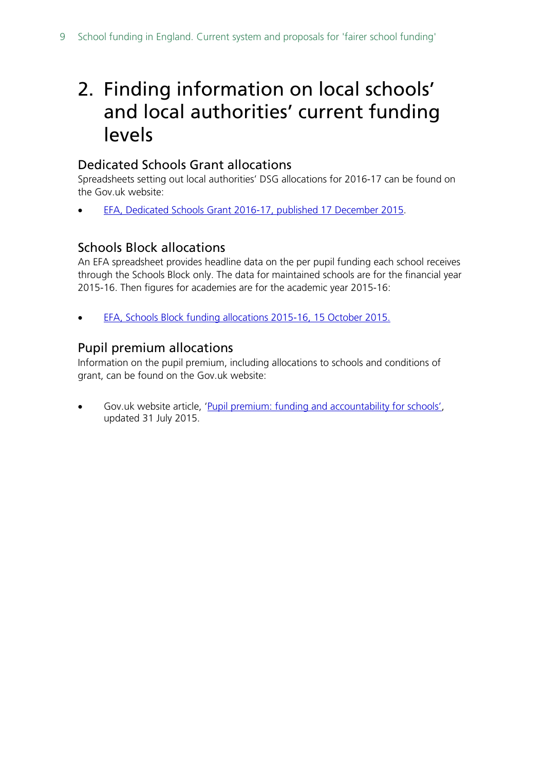# <span id="page-8-0"></span>2. Finding information on local schools' and local authorities' current funding levels

#### <span id="page-8-1"></span>Dedicated Schools Grant allocations

Spreadsheets setting out local authorities' DSG allocations for 2016-17 can be found on the Gov.uk website:

• [EFA, Dedicated Schools Grant 2016-17, published 17 December 2015.](https://www.gov.uk/government/publications/dedicated-schools-grant-dsg-2016-to-2017)

#### <span id="page-8-2"></span>Schools Block allocations

An EFA spreadsheet provides headline data on the per pupil funding each school receives through the Schools Block only. The data for maintained schools are for the financial year 2015-16. Then figures for academies are for the academic year 2015-16:

• [EFA, Schools Block funding allocations 2015-16, 15 October 2015.](https://www.gov.uk/government/publications/schools-block-funding-allocations-2015-to-2016)

### <span id="page-8-3"></span>Pupil premium allocations

Information on the pupil premium, including allocations to schools and conditions of grant, can be found on the Gov.uk website:

• Gov.uk website article, ['Pupil premium: funding and accountability for schools',](https://www.gov.uk/guidance/pupil-premium-information-for-schools-and-alternative-provision-settings) updated 31 July 2015.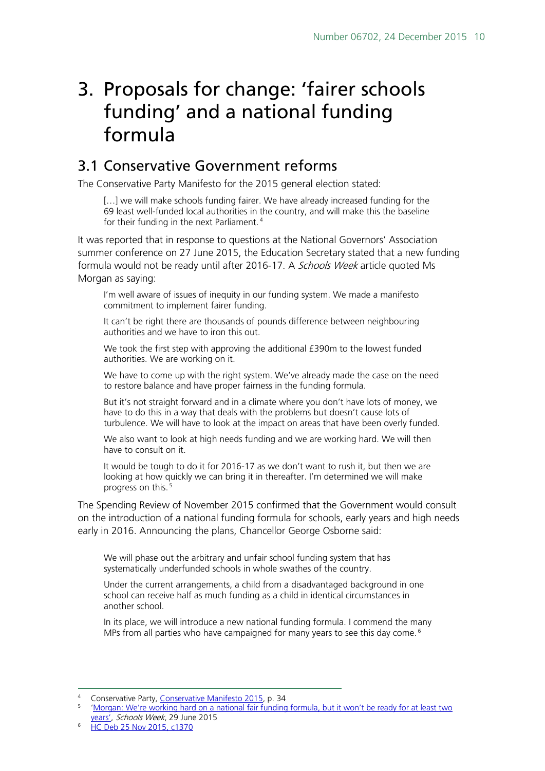# <span id="page-9-0"></span>3. Proposals for change: 'fairer schools funding' and a national funding formula

## <span id="page-9-1"></span>3.1 Conservative Government reforms

The Conservative Party Manifesto for the 2015 general election stated:

[...] we will make schools funding fairer. We have already increased funding for the 69 least well-funded local authorities in the country, and will make this the baseline for their funding in the next Parliament. [4](#page-9-2)

It was reported that in response to questions at the National Governors' Association summer conference on 27 June 2015, the Education Secretary stated that a new funding formula would not be ready until after 2016-17. A *Schools Week* article quoted Ms Morgan as saying:

I'm well aware of issues of inequity in our funding system. We made a manifesto commitment to implement fairer funding.

It can't be right there are thousands of pounds difference between neighbouring authorities and we have to iron this out.

We took the first step with approving the additional £390m to the lowest funded authorities. We are working on it.

We have to come up with the right system. We've already made the case on the need to restore balance and have proper fairness in the funding formula.

But it's not straight forward and in a climate where you don't have lots of money, we have to do this in a way that deals with the problems but doesn't cause lots of turbulence. We will have to look at the impact on areas that have been overly funded.

We also want to look at high needs funding and we are working hard. We will then have to consult on it.

It would be tough to do it for 2016-17 as we don't want to rush it, but then we are looking at how quickly we can bring it in thereafter. I'm determined we will make progress on this.<sup>[5](#page-9-3)</sup>

The Spending Review of November 2015 confirmed that the Government would consult on the introduction of a national funding formula for schools, early years and high needs early in 2016. Announcing the plans, Chancellor George Osborne said:

We will phase out the arbitrary and unfair school funding system that has systematically underfunded schools in whole swathes of the country.

Under the current arrangements, a child from a disadvantaged background in one school can receive half as much funding as a child in identical circumstances in another school.

In its place, we will introduce a new national funding formula. I commend the many MPs from all parties who have campaigned for many years to see this day come.<sup>[6](#page-9-4)</sup>

<span id="page-9-2"></span>Conservative Party[, Conservative Manifesto 2015,](https://s3-eu-west-1.amazonaws.com/manifesto2015/ConservativeManifesto2015.pdf) p. 34

<span id="page-9-3"></span><sup>&#</sup>x27;Morgan: We're working hard on a national fair funding formula, but it won't be ready for at least two [years'](http://schoolsweek.co.uk/morgan-were-working-hard-on-a-national-fair-funding-formula-but-it-wont-be-ready-for-at-least-two-years/), Schools Week, 29 June 2015

<span id="page-9-4"></span><sup>6</sup> [HC Deb 25 Nov 2015, c1370](http://www.publications.parliament.uk/pa/cm201516/cmhansrd/cm151125/debtext/151125-0001.htm#15112551000176)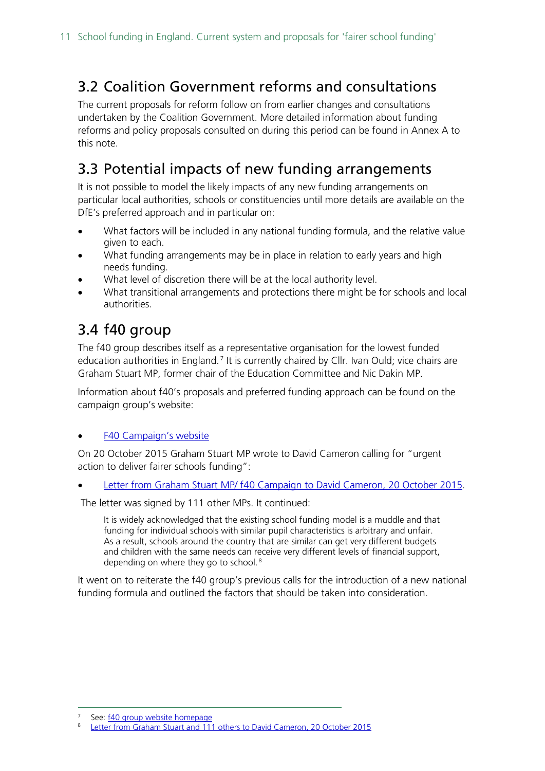# <span id="page-10-0"></span>3.2 Coalition Government reforms and consultations

The current proposals for reform follow on from earlier changes and consultations undertaken by the Coalition Government. More detailed information about funding reforms and policy proposals consulted on during this period can be found in Annex A to this note.

# <span id="page-10-1"></span>3.3 Potential impacts of new funding arrangements

It is not possible to model the likely impacts of any new funding arrangements on particular local authorities, schools or constituencies until more details are available on the DfE's preferred approach and in particular on:

- What factors will be included in any national funding formula, and the relative value given to each.
- What funding arrangements may be in place in relation to early years and high needs funding.
- What level of discretion there will be at the local authority level.
- What transitional arrangements and protections there might be for schools and local authorities.

## <span id="page-10-2"></span>3.4 f40 group

The f40 group describes itself as a representative organisation for the lowest funded education authorities in England.<sup>[7](#page-10-3)</sup> It is currently chaired by Cllr. Ivan Ould; vice chairs are Graham Stuart MP, former chair of the Education Committee and Nic Dakin MP.

Information about f40's proposals and preferred funding approach can be found on the campaign group's website:

#### **[F40 Campaign's website](http://www.f40.org.uk/)**

On 20 October 2015 Graham Stuart MP wrote to David Cameron calling for "urgent action to deliver fairer schools funding":

[Letter from Graham Stuart MP/ f40 Campaign to David Cameron, 20 October 2015.](http://www.f40.org.uk/useruploads/files/downloads/fair_school_funding_campaign_-_joint_letter.pdf)

The letter was signed by 111 other MPs. It continued:

It is widely acknowledged that the existing school funding model is a muddle and that funding for individual schools with similar pupil characteristics is arbitrary and unfair. As a result, schools around the country that are similar can get very different budgets and children with the same needs can receive very different levels of financial support, depending on where they go to school. [8](#page-10-4)

It went on to reiterate the f40 group's previous calls for the introduction of a new national funding formula and outlined the factors that should be taken into consideration.

<span id="page-10-4"></span><span id="page-10-3"></span>See: [f40 group website homepage](http://www.f40.org.uk/)

[Letter from Graham Stuart and 111 others to David Cameron, 20 October 2015](http://www.f40.org.uk/useruploads/files/downloads/fair_school_funding_campaign_-_joint_letter.pdf)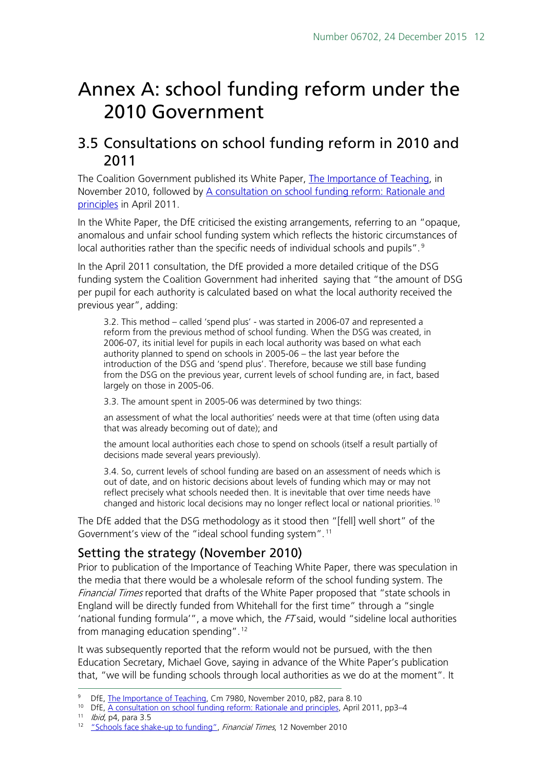# <span id="page-11-0"></span>Annex A: school funding reform under the 2010 Government

## <span id="page-11-1"></span>3.5 Consultations on school funding reform in 2010 and 2011

The Coalition Government published its White Paper, [The Importance of Teaching,](https://www.gov.uk/government/uploads/system/uploads/attachment_data/file/175429/CM-7980.pdf) in November 2010, followed by [A consultation on school funding reform: Rationale and](http://www.education.gov.uk/consultations/downloadableDocs/School%20Funding%20Reform%20consultation%20final.pdf)  [principles](http://www.education.gov.uk/consultations/downloadableDocs/School%20Funding%20Reform%20consultation%20final.pdf) in April 2011.

In the White Paper, the DfE criticised the existing arrangements, referring to an "opaque, anomalous and unfair school funding system which reflects the historic circumstances of local authorities rather than the specific needs of individual schools and pupils".<sup>[9](#page-11-3)</sup>

In the April 2011 consultation, the DfE provided a more detailed critique of the DSG funding system the Coalition Government had inherited saying that "the amount of DSG per pupil for each authority is calculated based on what the local authority received the previous year", adding:

3.2. This method – called 'spend plus' - was started in 2006-07 and represented a reform from the previous method of school funding. When the DSG was created, in 2006-07, its initial level for pupils in each local authority was based on what each authority planned to spend on schools in 2005-06 – the last year before the introduction of the DSG and 'spend plus'. Therefore, because we still base funding from the DSG on the previous year, current levels of school funding are, in fact, based largely on those in 2005-06.

3.3. The amount spent in 2005-06 was determined by two things:

an assessment of what the local authorities' needs were at that time (often using data that was already becoming out of date); and

the amount local authorities each chose to spend on schools (itself a result partially of decisions made several years previously).

3.4. So, current levels of school funding are based on an assessment of needs which is out of date, and on historic decisions about levels of funding which may or may not reflect precisely what schools needed then. It is inevitable that over time needs have changed and historic local decisions may no longer reflect local or national priorities. [10](#page-11-4)

The DfE added that the DSG methodology as it stood then "[fell] well short" of the Government's view of the "ideal school funding system". [11](#page-11-5)

## <span id="page-11-2"></span>Setting the strategy (November 2010)

Prior to publication of the Importance of Teaching White Paper, there was speculation in the media that there would be a wholesale reform of the school funding system. The Financial Times reported that drafts of the White Paper proposed that "state schools in England will be directly funded from Whitehall for the first time" through a "single 'national funding formula'", a move which, the  $FT$  said, would "sideline local authorities from managing education spending". [12](#page-11-6)

It was subsequently reported that the reform would not be pursued, with the then Education Secretary, Michael Gove, saying in advance of the White Paper's publication that, "we will be funding schools through local authorities as we do at the moment". It

<span id="page-11-3"></span><sup>&</sup>lt;sup>9</sup> DfE, [The Importance of Teaching,](https://www.education.gov.uk/publications/eOrderingDownload/CM-7980.pdf) Cm 7980, November 2010, p82, para 8.10

<sup>&</sup>lt;sup>10</sup> DfE, [A consultation on school funding reform: Rationale and principles,](http://www.education.gov.uk/consultations/downloadableDocs/School%20Funding%20Reform%20consultation%20final.pdf) April 2011, pp3-4

<span id="page-11-6"></span><span id="page-11-5"></span><span id="page-11-4"></span> $11$  *Ibid*, p4, para 3.5

<sup>&</sup>lt;sup>12</sup> ["Schools face shake-up to funding",](http://www.ft.com/cms/s/0/8e481dc8-eea0-11df-9db0-00144feab49a.html#axzz1RzUlniiZhttp://www.ft.com/cms/s/0/8e481dc8-eea0-11df-9db0-00144feab49a.html) Financial Times, 12 November 2010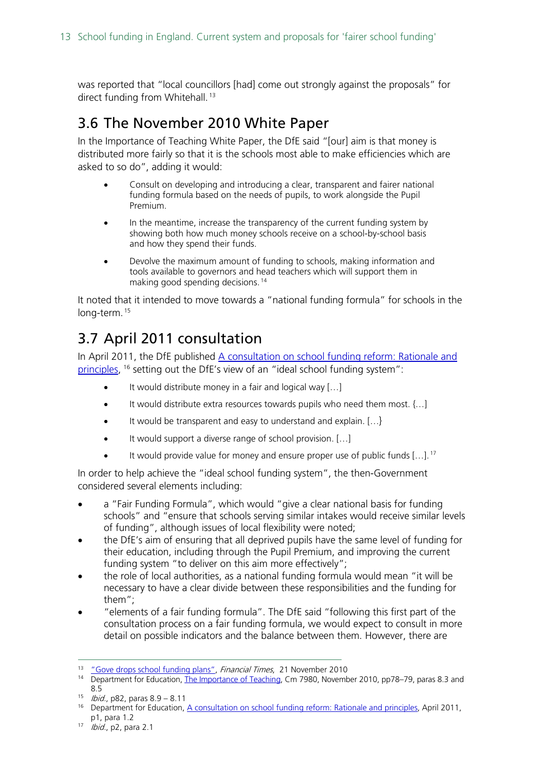was reported that "local councillors [had] come out strongly against the proposals" for direct funding from Whitehall.<sup>[13](#page-12-2)</sup>

## <span id="page-12-0"></span>3.6 The November 2010 White Paper

In the Importance of Teaching White Paper, the DfE said "[our] aim is that money is distributed more fairly so that it is the schools most able to make efficiencies which are asked to so do", adding it would:

- Consult on developing and introducing a clear, transparent and fairer national funding formula based on the needs of pupils, to work alongside the Pupil Premium.
- In the meantime, increase the transparency of the current funding system by showing both how much money schools receive on a school-by-school basis and how they spend their funds.
- Devolve the maximum amount of funding to schools, making information and tools available to governors and head teachers which will support them in making good spending decisions. [14](#page-12-3)

It noted that it intended to move towards a "national funding formula" for schools in the long-term.<sup>[15](#page-12-4)</sup>

## <span id="page-12-1"></span>3.7 April 2011 consultation

In April 2011, the DfE published  $A$  consultation on school funding reform: Rationale and [principles,](http://www.education.gov.uk/consultations/downloadableDocs/School%20Funding%20Reform%20consultation%20final.pdf) [16](#page-12-5) setting out the DfE's view of an "ideal school funding system":

- It would distribute money in a fair and logical way  $[...]$
- $\bullet$  It would distribute extra resources towards pupils who need them most.  $\{...\}$
- It would be transparent and easy to understand and explain.  $[...]$
- It would support a diverse range of school provision. […]
- It would provide value for money and ensure proper use of public funds  $[...]$ .<sup>[17](#page-12-6)</sup>

In order to help achieve the "ideal school funding system", the then-Government considered several elements including:

- a "Fair Funding Formula", which would "give a clear national basis for funding schools" and "ensure that schools serving similar intakes would receive similar levels of funding", although issues of local flexibility were noted;
- the DfE's aim of ensuring that all deprived pupils have the same level of funding for their education, including through the Pupil Premium, and improving the current funding system "to deliver on this aim more effectively";
- the role of local authorities, as a national funding formula would mean "it will be necessary to have a clear divide between these responsibilities and the funding for them";
- "elements of a fair funding formula". The DfE said "following this first part of the consultation process on a fair funding formula, we would expect to consult in more detail on possible indicators and the balance between them. However, there are

<span id="page-12-2"></span><sup>&</sup>lt;sup>13</sup> ["Gove drops school funding plans",](http://www.ft.com/cms/s/0/3f9c3fe4-f583-11df-99d6-00144feab49a.html#axzz1RzUlniiZ) Financial Times, 21 November 2010

<span id="page-12-3"></span><sup>&</sup>lt;sup>14</sup> Department for Education[, The Importance of Teaching,](https://www.education.gov.uk/publications/eOrderingDownload/CM-7980.pdf) Cm 7980, November 2010, pp78–79, paras 8.3 and 8.5

<span id="page-12-5"></span><span id="page-12-4"></span><sup>15</sup> *Ibid.*, p82, paras 8.9 - 8.11

<sup>&</sup>lt;sup>16</sup> Department for Education, [A consultation on school funding reform: Rationale and principles,](http://www.education.gov.uk/consultations/downloadableDocs/School%20Funding%20Reform%20consultation%20final.pdf) April 2011, p1, para 1.2

<span id="page-12-6"></span><sup>17</sup> *Ibid.*, p2, para 2.1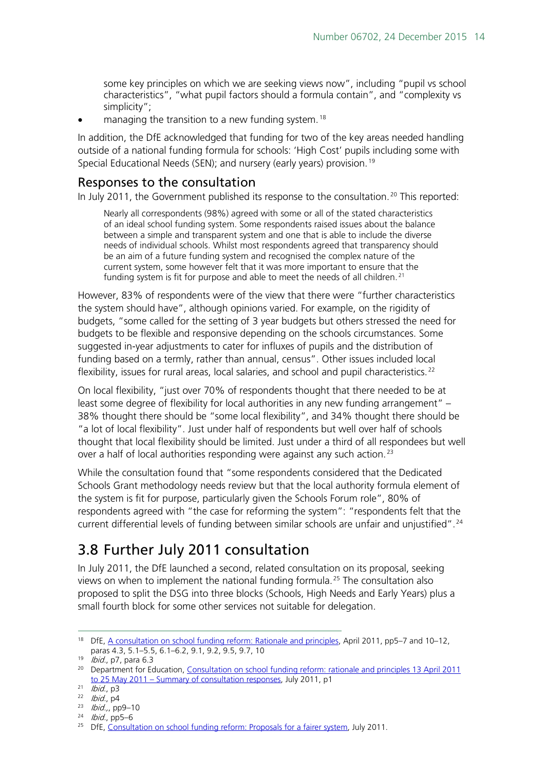some key principles on which we are seeking views now", including "pupil vs school characteristics", "what pupil factors should a formula contain", and "complexity vs simplicity";

managing the transition to a new funding system.<sup>[18](#page-13-2)</sup>

In addition, the DfE acknowledged that funding for two of the key areas needed handling outside of a national funding formula for schools: 'High Cost' pupils including some with Special Educational Needs (SEN); and nursery (early years) provision. [19](#page-13-3)

#### <span id="page-13-0"></span>Responses to the consultation

In July [20](#page-13-4)11, the Government published its response to the consultation.<sup>20</sup> This reported:

Nearly all correspondents (98%) agreed with some or all of the stated characteristics of an ideal school funding system. Some respondents raised issues about the balance between a simple and transparent system and one that is able to include the diverse needs of individual schools. Whilst most respondents agreed that transparency should be an aim of a future funding system and recognised the complex nature of the current system, some however felt that it was more important to ensure that the funding system is fit for purpose and able to meet the needs of all children.<sup>[21](#page-13-5)</sup>

However, 83% of respondents were of the view that there were "further characteristics the system should have", although opinions varied. For example, on the rigidity of budgets, "some called for the setting of 3 year budgets but others stressed the need for budgets to be flexible and responsive depending on the schools circumstances. Some suggested in-year adjustments to cater for influxes of pupils and the distribution of funding based on a termly, rather than annual, census". Other issues included local flexibility, issues for rural areas, local salaries, and school and pupil characteristics.<sup>[22](#page-13-6)</sup>

On local flexibility, "just over 70% of respondents thought that there needed to be at least some degree of flexibility for local authorities in any new funding arrangement" – 38% thought there should be "some local flexibility", and 34% thought there should be "a lot of local flexibility". Just under half of respondents but well over half of schools thought that local flexibility should be limited. Just under a third of all respondees but well over a half of local authorities responding were against any such action. [23](#page-13-7)

While the consultation found that "some respondents considered that the Dedicated Schools Grant methodology needs review but that the local authority formula element of the system is fit for purpose, particularly given the Schools Forum role", 80% of respondents agreed with "the case for reforming the system": "respondents felt that the current differential levels of funding between similar schools are unfair and unjustified". [24](#page-13-8)

## <span id="page-13-1"></span>3.8 Further July 2011 consultation

In July 2011, the DfE launched a second, related consultation on its proposal, seeking views on when to implement the national funding formula. [25](#page-13-9) The consultation also proposed to split the DSG into three blocks (Schools, High Needs and Early Years) plus a small fourth block for some other services not suitable for delegation.

<span id="page-13-2"></span><sup>18</sup> DfE, [A consultation on school funding reform: Rationale and principles,](http://www.education.gov.uk/consultations/downloadableDocs/School%20Funding%20Reform%20consultation%20final.pdf) April 2011, pp5-7 and 10-12, paras 4.3, 5.1–5.5, 6.1–6.2, 9.1, 9.2, 9.5, 9.7, 10

<sup>19</sup> *Ibid.*, p7, para 6.3

<span id="page-13-4"></span><span id="page-13-3"></span><sup>&</sup>lt;sup>20</sup> Department for Education, Consultation on school funding reform: rationale and principles 13 April 2011 to 25 May 2011 – [Summary of consultation responses,](http://www.education.gov.uk/consultations/downloadableDocs/110720%20Report%20of%20April%20Consultation%20Final.pdf) July 2011, p1

<span id="page-13-5"></span> $21$  *Ibid.*, p3

<span id="page-13-6"></span> $22$  Ibid., p4

<span id="page-13-7"></span> $23$  *Ibid.*, pp9-10

<span id="page-13-8"></span> $24$  *Ibid.*, pp5–6

<span id="page-13-9"></span><sup>&</sup>lt;sup>25</sup> DfE, [Consultation on school funding reform: Proposals for a fairer system,](https://www.education.gov.uk/consultations/downloadableDocs/July%2011%20Consultation%20on%20School%20Funding%20Reform%20FINAL.pdf) July 2011.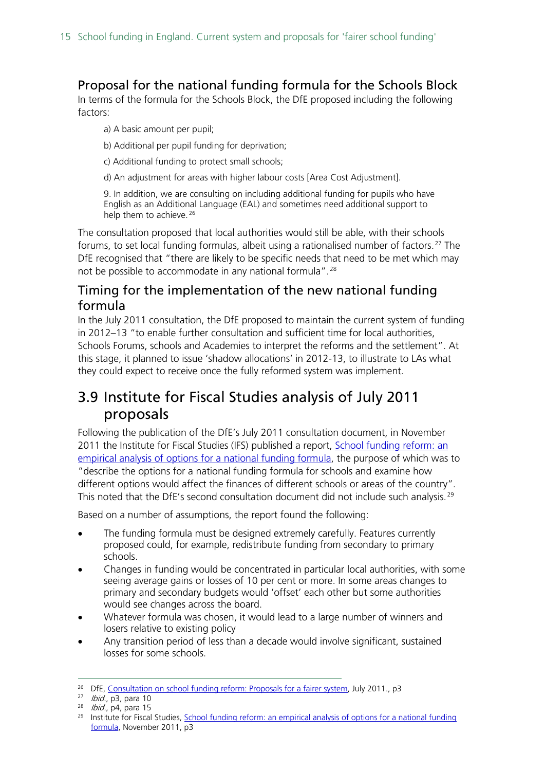## <span id="page-14-0"></span>Proposal for the national funding formula for the Schools Block

In terms of the formula for the Schools Block, the DfE proposed including the following factors:

- a) A basic amount per pupil;
- b) Additional per pupil funding for deprivation;
- c) Additional funding to protect small schools;
- d) An adjustment for areas with higher labour costs [Area Cost Adjustment].

9. In addition, we are consulting on including additional funding for pupils who have English as an Additional Language (EAL) and sometimes need additional support to help them to achieve.<sup>[26](#page-14-3)</sup>

The consultation proposed that local authorities would still be able, with their schools forums, to set local funding formulas, albeit using a rationalised number of factors. [27](#page-14-4) The DfE recognised that "there are likely to be specific needs that need to be met which may not be possible to accommodate in any national formula".<sup>[28](#page-14-5)</sup>

## <span id="page-14-1"></span>Timing for the implementation of the new national funding formula

In the July 2011 consultation, the DfE proposed to maintain the current system of funding in 2012–13 "to enable further consultation and sufficient time for local authorities, Schools Forums, schools and Academies to interpret the reforms and the settlement". At this stage, it planned to issue 'shadow allocations' in 2012-13, to illustrate to LAs what they could expect to receive once the fully reformed system was implement.

## <span id="page-14-2"></span>3.9 Institute for Fiscal Studies analysis of July 2011 proposals

Following the publication of the DfE's July 2011 consultation document, in November 2011 the Institute for Fiscal Studies (IFS) published a report, **School funding reform: an** [empirical analysis of options for a national funding formula,](http://www.ifs.org.uk/bns/bn123.pdf) the purpose of which was to "describe the options for a national funding formula for schools and examine how different options would affect the finances of different schools or areas of the country". This noted that the DfE's second consultation document did not include such analysis.<sup>[29](#page-14-6)</sup>

Based on a number of assumptions, the report found the following:

- The funding formula must be designed extremely carefully. Features currently proposed could, for example, redistribute funding from secondary to primary schools.
- Changes in funding would be concentrated in particular local authorities, with some seeing average gains or losses of 10 per cent or more. In some areas changes to primary and secondary budgets would 'offset' each other but some authorities would see changes across the board.
- Whatever formula was chosen, it would lead to a large number of winners and losers relative to existing policy
- Any transition period of less than a decade would involve significant, sustained losses for some schools.

<span id="page-14-3"></span><sup>&</sup>lt;sup>26</sup> DfE, Consultation on school funding reform: Proposals for a fairer system, July 2011., p3 *Ibid.*, p3, para 10

<span id="page-14-4"></span>

<sup>&</sup>lt;sup>28</sup> *Ibid.*, p4, para 15

<span id="page-14-6"></span><span id="page-14-5"></span><sup>&</sup>lt;sup>29</sup> Institute for Fiscal Studies, School funding reform: an empirical analysis of options for a national funding [formula,](http://www.ifs.org.uk/bns/bn123.pdf) November 2011, p3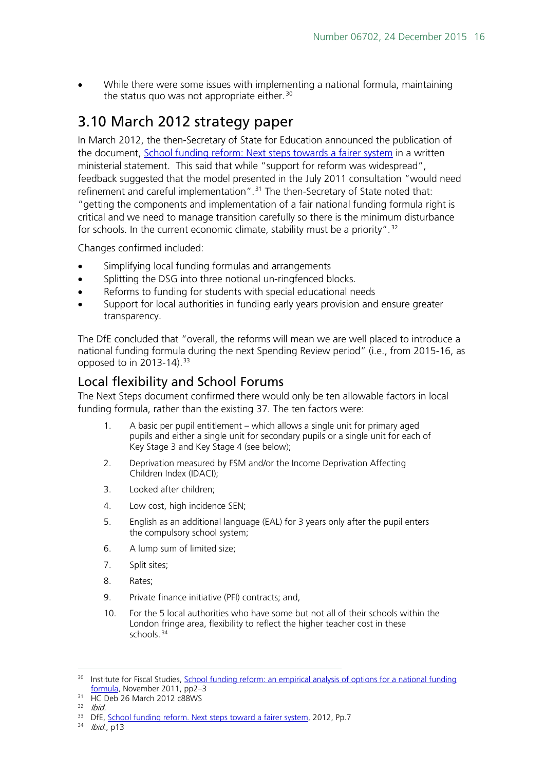• While there were some issues with implementing a national formula, maintaining the status quo was not appropriate either.  $30$ 

# <span id="page-15-0"></span>3.10 March 2012 strategy paper

In March 2012, the then-Secretary of State for Education announced the publication of the document, [School funding reform: Next steps towards a fairer system](http://media.education.gov.uk/assets/files/pdf/s/school%20funding%20reform%20-%20next%20steps%20towards%20a%20fairer%20system.pdf) in a written ministerial statement. This said that while "support for reform was widespread", feedback suggested that the model presented in the July 2011 consultation "would need refinement and careful implementation".<sup>[31](#page-15-3)</sup> The then-Secretary of State noted that: "getting the components and implementation of a fair national funding formula right is critical and we need to manage transition carefully so there is the minimum disturbance for schools. In the current economic climate, stability must be a priority". [32](#page-15-4)

Changes confirmed included:

- Simplifying local funding formulas and arrangements
- Splitting the DSG into three notional un-ringfenced blocks.
- Reforms to funding for students with special educational needs
- Support for local authorities in funding early years provision and ensure greater transparency.

The DfE concluded that "overall, the reforms will mean we are well placed to introduce a national funding formula during the next Spending Review period" (i.e., from 2015-16, as opposed to in 2013-14).  $33$ 

### <span id="page-15-1"></span>Local flexibility and School Forums

The Next Steps document confirmed there would only be ten allowable factors in local funding formula, rather than the existing 37. The ten factors were:

- 1. A basic per pupil entitlement which allows a single unit for primary aged pupils and either a single unit for secondary pupils or a single unit for each of Key Stage 3 and Key Stage 4 (see below);
- 2. Deprivation measured by FSM and/or the Income Deprivation Affecting Children Index (IDACI);
- 3. Looked after children;
- 4. Low cost, high incidence SEN;
- 5. English as an additional language (EAL) for 3 years only after the pupil enters the compulsory school system;
- 6. A lump sum of limited size;
- 7. Split sites;
- 8. Rates;
- 9. Private finance initiative (PFI) contracts; and,
- 10. For the 5 local authorities who have some but not all of their schools within the London fringe area, flexibility to reflect the higher teacher cost in these schools. [34](#page-15-6)

<span id="page-15-2"></span><sup>&</sup>lt;sup>30</sup> Institute for Fiscal Studies, School funding reform: an empirical analysis of options for a national funding [formula,](http://www.ifs.org.uk/bns/bn123.pdf) November 2011, pp2–3

<span id="page-15-3"></span><sup>31</sup> HC Deb 26 March 2012 c88WS

<span id="page-15-4"></span> $32$  Ibid.

<span id="page-15-5"></span><sup>&</sup>lt;sup>33</sup> DfE, [School funding reform. Next steps toward a fairer system,](http://media.education.gov.uk/assets/files/pdf/s/school%20funding%20reform%20-%20next%20steps%20towards%20a%20fairer%20system.pdf) 2012, Pp.7

<span id="page-15-6"></span><sup>34</sup> *Ibid.*, p13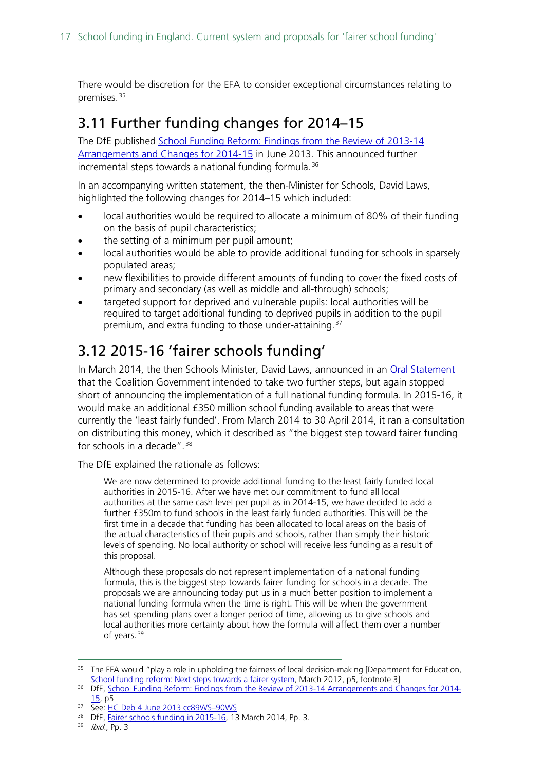There would be discretion for the EFA to consider exceptional circumstances relating to premises. [35](#page-16-2)

# <span id="page-16-0"></span>3.11 Further funding changes for 2014–15

The DfE published [School Funding Reform: Findings from the Review of 2013-14](https://www.gov.uk/government/uploads/system/uploads/attachment_data/file/205195/school_funding_reform_2014-15.pdf)  [Arrangements and Changes for 2014-15](https://www.gov.uk/government/uploads/system/uploads/attachment_data/file/205195/school_funding_reform_2014-15.pdf) in June 2013. This announced further incremental steps towards a national funding formula. [36](#page-16-3)

In an accompanying written statement, the then-Minister for Schools, David Laws, highlighted the following changes for 2014–15 which included:

- local authorities would be required to allocate a minimum of 80% of their funding on the basis of pupil characteristics;
- the setting of a minimum per pupil amount;
- local authorities would be able to provide additional funding for schools in sparsely populated areas;
- new flexibilities to provide different amounts of funding to cover the fixed costs of primary and secondary (as well as middle and all-through) schools;
- targeted support for deprived and vulnerable pupils: local authorities will be required to target additional funding to deprived pupils in addition to the pupil premium, and extra funding to those under-attaining. [37](#page-16-4)

# <span id="page-16-1"></span>3.12 2015-16 'fairer schools funding'

In March 2014, the then Schools Minister, David Laws, announced in an [Oral Statement](https://www.gov.uk/government/speeches/david-laws-oral-statement-on-minimum-funding-levels) that the Coalition Government intended to take two further steps, but again stopped short of announcing the implementation of a full national funding formula. In 2015-16, it would make an additional £350 million school funding available to areas that were currently the 'least fairly funded'. From March 2014 to 30 April 2014, it ran a consultation on distributing this money, which it described as "the biggest step toward fairer funding for schools in a decade".<sup>[38](#page-16-5)</sup>

The DfE explained the rationale as follows:

We are now determined to provide additional funding to the least fairly funded local authorities in 2015-16. After we have met our commitment to fund all local authorities at the same cash level per pupil as in 2014-15, we have decided to add a further £350m to fund schools in the least fairly funded authorities. This will be the first time in a decade that funding has been allocated to local areas on the basis of the actual characteristics of their pupils and schools, rather than simply their historic levels of spending. No local authority or school will receive less funding as a result of this proposal.

Although these proposals do not represent implementation of a national funding formula, this is the biggest step towards fairer funding for schools in a decade. The proposals we are announcing today put us in a much better position to implement a national funding formula when the time is right. This will be when the government has set spending plans over a longer period of time, allowing us to give schools and local authorities more certainty about how the formula will affect them over a number of years. [39](#page-16-6)

<span id="page-16-2"></span><sup>&</sup>lt;sup>35</sup> The EFA would "play a role in upholding the fairness of local decision-making [Department for Education, [School funding reform: Next steps towards a fairer system,](http://media.education.gov.uk/assets/files/pdf/s/school%20funding%20reform%20-%20next%20steps%20towards%20a%20fairer%20system.pdf) March 2012, p5, footnote 3]

<span id="page-16-3"></span><sup>&</sup>lt;sup>36</sup> DfE, [School Funding Reform: Findings from the Review of 2013-14 Arrangements and Changes for 2014-](https://www.gov.uk/government/uploads/system/uploads/attachment_data/file/205195/school_funding_reform_2014-15.pdf) [15,](https://www.gov.uk/government/uploads/system/uploads/attachment_data/file/205195/school_funding_reform_2014-15.pdf) p5

<sup>37</sup> See: [HC Deb 4 June 2013 cc89WS–90WS](http://www.publications.parliament.uk/pa/cm201314/cmhansrd/cm130604/wmstext/130604m0001.htm#13060452000015)

<span id="page-16-5"></span><span id="page-16-4"></span><sup>&</sup>lt;sup>38</sup> DfE, *Fairer schools funding in 2015-16*, 13 March 2014, Pp. 3.<br><sup>39</sup> *Ibid.*, Pp. 3

<span id="page-16-6"></span>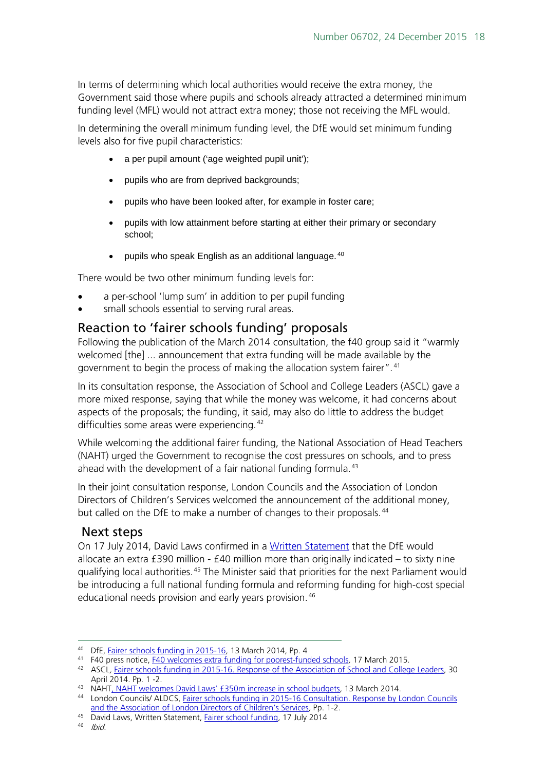In terms of determining which local authorities would receive the extra money, the Government said those where pupils and schools already attracted a determined minimum funding level (MFL) would not attract extra money; those not receiving the MFL would.

In determining the overall minimum funding level, the DfE would set minimum funding levels also for five pupil characteristics:

- a per pupil amount ('age weighted pupil unit');
- pupils who are from deprived backgrounds;
- pupils who have been looked after, for example in foster care;
- pupils with low attainment before starting at either their primary or secondary school;
- pupils who speak English as an additional language. [40](#page-17-2)

There would be two other minimum funding levels for:

- a per-school 'lump sum' in addition to per pupil funding
- small schools essential to serving rural areas.

### <span id="page-17-0"></span>Reaction to 'fairer schools funding' proposals

Following the publication of the March 2014 consultation, the f40 group said it "warmly welcomed [the] ... announcement that extra funding will be made available by the government to begin the process of making the allocation system fairer". [41](#page-17-3)

In its consultation response, the Association of School and College Leaders (ASCL) gave a more mixed response, saying that while the money was welcome, it had concerns about aspects of the proposals; the funding, it said, may also do little to address the budget difficulties some areas were experiencing. [42](#page-17-4)

While welcoming the additional fairer funding, the National Association of Head Teachers (NAHT) urged the Government to recognise the cost pressures on schools, and to press ahead with the development of a fair national funding formula. [43](#page-17-5)

In their joint consultation response, London Councils and the Association of London Directors of Children's Services welcomed the announcement of the additional money, but called on the DfE to make a number of changes to their proposals.<sup>[44](#page-17-6)</sup>

#### <span id="page-17-1"></span>Next steps

On 17 July 2014, David Laws confirmed in a [Written Statement](https://www.gov.uk/government/speeches/fairer-school-funding) that the DfE would allocate an extra £390 million - £40 million more than originally indicated – to sixty nine qualifying local authorities. [45](#page-17-7) The Minister said that priorities for the next Parliament would be introducing a full national funding formula and reforming funding for high-cost special educational needs provision and early years provision.<sup>[46](#page-17-8)</sup>

<span id="page-17-2"></span><sup>&</sup>lt;sup>40</sup> DfE, *Fairer schools funding in 2015-16*, 13 March 2014, Pp. 4<br><sup>41</sup> F40 press notice, F40 welcomes extra funding for poorest-funded schools, 17 March 2015.

<span id="page-17-4"></span><span id="page-17-3"></span><sup>&</sup>lt;sup>42</sup> ASCL, [Fairer schools funding in 2015-16. Response of the Association of School and College Leaders,](http://www.ascl.org.uk/utilities/document-summary.html?id=2569F98B-3184-45D2-ADC6240AE422B685) 30<br>April 2014. Pp. 1 -2.

<span id="page-17-6"></span><span id="page-17-5"></span>

<sup>&</sup>lt;sup>43</sup> NAHT, NAHT welcomes David Laws' £350m increase in school budgets, 13 March 2014.<br><sup>44</sup> London Councils/ ALDCS, <u>Fairer schools funding in 2015-16 Consultation. Response by London Councils<br>and the Association of London </u>

<span id="page-17-8"></span><span id="page-17-7"></span><sup>&</sup>lt;sup>45</sup> David Laws, Written Statement, [Fairer school funding](https://www.gov.uk/government/speeches/fairer-school-funding), 17 July 2014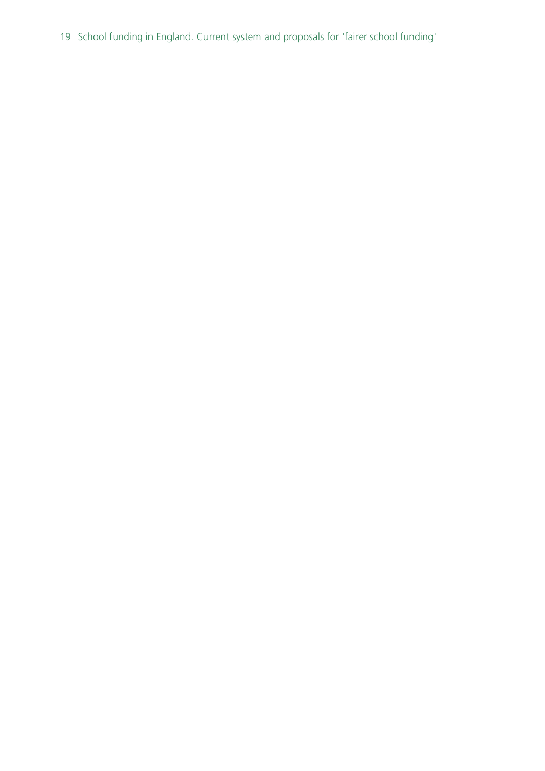School funding in England. Current system and proposals for 'fairer school funding'